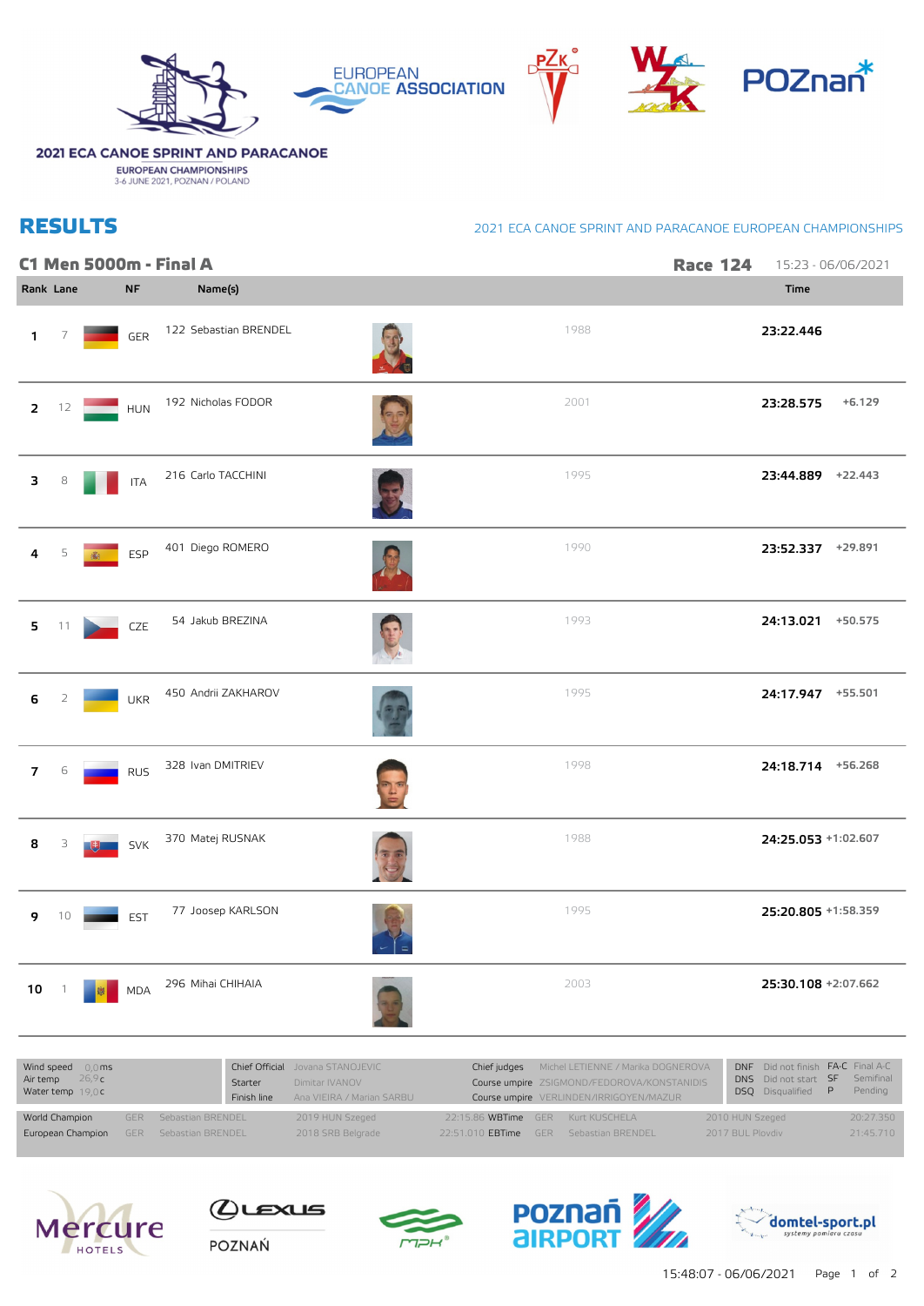

## 2021 ECA CANOE SPRINT AND PARACANOE

**EUROPEAN CHAMPIONSHIPS**<br>3-6 JUNE 2021, POZNAN / POLAND

## **RESULTS**

## 2021 ECA CANOE SPRINT AND PARACANOE EUROPEAN CHAMPIONSHIPS

|                         |    |     |            | C1 Men 5000m - Final A |             |      | <b>Race 124</b> | 15:23 - 06/06/2021    |
|-------------------------|----|-----|------------|------------------------|-------------|------|-----------------|-----------------------|
| Rank Lane               |    |     | <b>NF</b>  | Name(s)                |             |      |                 | <b>Time</b>           |
| 1                       | 7  |     | GER        | 122 Sebastian BRENDEL  |             | 1988 |                 | 23:22.446             |
| $\overline{2}$          | 12 |     | <b>HUN</b> | 192 Nicholas FODOR     |             | 2001 |                 | 23:28.575<br>$+6.129$ |
| 3                       | 8  |     | <b>ITA</b> | 216 Carlo TACCHINI     |             | 1995 |                 | 23:44.889 +22.443     |
| 4                       | 5  | (编) | ESP        | 401 Diego ROMERO       |             | 1990 |                 | 23:52.337 +29.891     |
| $\overline{\mathbf{5}}$ | 11 |     | CZE        | 54 Jakub BREZINA       |             | 1993 |                 | 24:13.021 +50.575     |
| 6                       | 2  |     | <b>UKR</b> | 450 Andrii ZAKHAROV    |             | 1995 |                 | 24:17.947 +55.501     |
| $\overline{7}$          | 6  |     | <b>RUS</b> | 328 Ivan DMITRIEV      |             | 1998 |                 | 24:18.714 +56.268     |
| 8                       | З  |     | <b>SVK</b> | 370 Matej RUSNAK       |             | 1988 |                 | 24:25.053 +1:02.607   |
| 9                       | 10 |     | <b>EST</b> | 77 Joosep KARLSON      | $ -\vert$ = | 1995 |                 | 25:20.805 +1:58.359   |
| $10\,$                  |    |     | <b>MDA</b> | 296 Mihai CHIHAIA      |             | 2003 |                 | 25:30.108 +2:07.662   |
|                         |    |     |            |                        |             |      |                 |                       |

| Wind speed $0.0 \text{ ms}$<br>Air temp $26.9c$<br>Water temp $19.0c$ |  |                              | Starter<br>Finish line | Chief Official Jovana STANOJEVIC<br>Dimitar IVANOV<br>Ana VIEIRA / Marian SARBU |                                               | Chief judges Michel LETIENNE / Marika DOGNEROVA<br>Course umpire ZSIGMOND/FEDOROVA/KONSTANIDIS<br>Course umpire VERLINDEN/IRRIGOYEN/MAZUR | DNF Did not finish FA-C Final A-C<br>DNS Did not start SF Semifinal<br><b>DSO</b> Disqualified <b>P</b> |  | Pending   |
|-----------------------------------------------------------------------|--|------------------------------|------------------------|---------------------------------------------------------------------------------|-----------------------------------------------|-------------------------------------------------------------------------------------------------------------------------------------------|---------------------------------------------------------------------------------------------------------|--|-----------|
| World Champion                                                        |  | <b>GER</b> Sebastian BRENDEL |                        | 2019 HUN Szeged                                                                 | 22:15.86 WBTime GER Kurt KUSCHELA             |                                                                                                                                           | 2010 HUN Szeged                                                                                         |  | 20:27.350 |
| <b>European Champion</b> GER Sebastian BRENDEL                        |  |                              |                        | 2018 SRB Belgrade                                                               | 22:51.010 <b>EBTime GER</b> Sebastian BRENDEL |                                                                                                                                           | 2017 BUL Ploydiv                                                                                        |  | 21:45.710 |





POZNAŃ